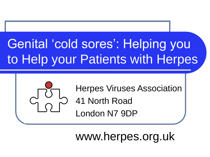# Genital 'cold sores': Helping you to Help your Patients with Herpes



Herpes Viruses Association 41 North Road London N7 9DP

www.herpes.org.uk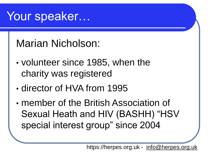### Your speaker…

Marian Nicholson:

- volunteer since 1985, when the charity was registered
- director of HVA from 1995
- member of the British Association of Sexual Heath and HIV (BASHH) "HSV special interest group" since 2004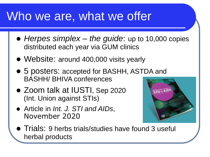### Who we are, what we offer

- ⚫ *Herpes simplex – the guide*: up to 10,000 copies distributed each year via GUM clinics
- Website: around 400,000 visits yearly
- 5 posters: accepted for BASHH, ASTDA and BASHH/ BHIVA conferences
- Zoom talk at IUSTI, Sep 2020 (Int. Union against STIs)
- ⚫ Article in *Int. J. STI and AIDs*, November 2020



● Trials: 9 herbs trials/studies have found 3 useful herbal products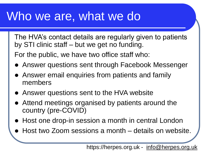### Who we are, what we do

The HVA's contact details are regularly given to patients by STI clinic staff – but we get no funding.

For the public, we have two office staff who:

- ⚫ Answer questions sent through Facebook Messenger
- ⚫ Answer email enquiries from patients and family members
- ⚫ Answer questions sent to the HVA website
- ⚫ Attend meetings organised by patients around the country (pre-COVID)
- Host one drop-in session a month in central London
- ⚫ Host two Zoom sessions a month details on website.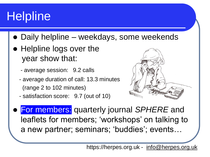# **Helpline**

- ⚫ Daily helpline weekdays, some weekends
- Helpline logs over the year show that:
	- average session: 9.2 calls
	- average duration of call: 13.3 minutes (range 2 to 102 minutes)
	- satisfaction score: 9.7 (out of 10)



⚫ For members: quarterly journal *SPHERE* and leaflets for members; 'workshops' on talking to a new partner; seminars; 'buddies'; events…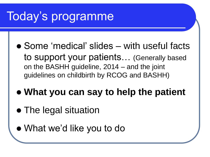# Today's programme

- ⚫ Some 'medical' slides with useful facts to support your patients… (Generally based on the BASHH guideline, 2014 – and the joint guidelines on childbirth by RCOG and BASHH)
- ⚫ **What you can say to help the patient**
- ⚫ The legal situation
- ⚫ What we'd like you to do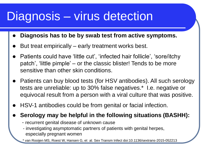### Diagnosis – virus detection

- ⚫ **Diagnosis has to be by swab test from active symptoms.**
- ⚫ But treat empirically early treatment works best.
- ⚫ Patients could have 'little cut', 'infected hair follicle', 'sore/itchy patch', 'little pimple' – or the classic blister! Tends to be more sensitive than other skin conditions.
- ⚫ Patients can buy blood tests (for HSV antibodies). All such serology tests are unreliable: up to 30% false negatives.\* I.e. negative or equivocal result from a person with a viral culture that was positive.
- ⚫ HSV-1 antibodies could be from genital or facial infection.

⚫ **Serology may be helpful in the following situations (BASHH):**

- recurrent genital disease of unknown cause
- investigating asymptomatic partners of patients with genital herpes, especially pregnant women

\* van Rooijen MS, Roest W, Hansen G, et al. Sex Transm Infect doi:10.1136/sextrans-2015-052213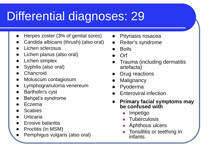# Differential diagnoses: 29

- ⚫ Herpes zoster (3% of genital sores)
- ⚫ Candida albicans (thrush) (also oral)
- ⚫ Lichen sclerosus
- ⚫ Lichen planus (also oral)
- Lichen simplex
- ⚫ Syphilis (also oral)
- **Chancroid**
- ⚫ Moluscum contagiosum
- ⚫ Lymphogranuloma venereum
- ⚫ Bartholin's cyst
- ⚫ Behçet's syndrome
- ⚫ Eczema
- **Scabies**
- **Urticaria**
- ⚫ Erosive balanitis
- ⚫ Proctitis (in MSM)
- ⚫ Pemphigus vulgaris (also oral)
- ⚫ Pityriasis rosacea
- ⚫ Reiter's syndrome
- **Boils**
- ⚫ Orf
- ⚫ Trauma (including dermatitis artefacta)
- ⚫ Drug reactions
- **Malignancy**
- **Pyoderma**
- ⚫ Enteroviral infection
- ⚫ **Primary facial symptoms may be confused with** 
	- ⚫ Impetigo
	- **Tuberculosis**
	- ⚫ Aphthous ulcers
	- ⚫ Tonsillitis or teething in infants.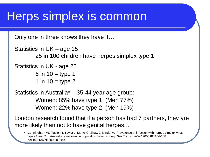## Herps simplex is common

Only one in three knows they have it…

```
Statistics in UK – age 15
25 in 100 children have herpes simplex type 1
```

```
Statistics in UK - age 25
6 in 10 = type 1
```
1 in  $10 =$  type 2

Statistics in Australia\* – 35-44 year age group: Women: 85% have type 1 (Men 77%) Women: 22% have type 2 (Men 19%)

London research found that if a person has had 7 partners, they are more likely than not to have genital herpes…

• Cunningham AL, Taylor R, Taylor J, Marks C, Shaw J, Mindel A. Prevalence of infection with herpes simplex virus types 1 and 2 in Australia: a nationwide population based survey. *Sex Transm Infect* 2006;**82:**164-168 doi:10.1136/sti.2005.016899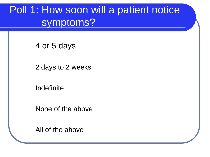#### Poll 1: How soon will a patient notice symptoms?

4 or 5 days

2 days to 2 weeks

Indefinite

None of the above

All of the above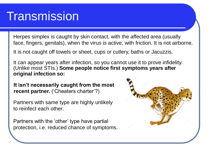### **Transmission**

Herpes simplex is caught by skin contact, with the affected area (usually face, fingers, genitals), when the virus is active, with friction. It is not airborne.

It is not caught off towels or sheet, cups or cutlery, baths or Jacuzzis.

It can appear years after infection, so you cannot use it to prove infidelity. (Unlike most STIs.) **Some people notice first symptoms years after original infection so:**

**It isn't necessarily caught from the most recent partner.** ('Cheaters charter'?)

Partners with same type are highly unlikely to reinfect each other.

Partners with the 'other' type have partial protection, i.e. reduced chance of symptoms.

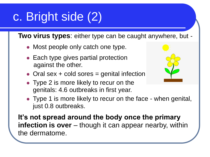# c. Bright side (2)

**Two virus types**: either type can be caught anywhere, but -

- ⚫ Most people only catch one type.
- Each type gives partial protection against the other.
- $\bullet$  Oral sex  $+$  cold sores = genital infection
- ⚫ Type 2 is more likely to recur on the genitals: 4.6 outbreaks in first year.
- ⚫ Type 1 is more likely to recur on the face when genital, just 0.8 outbreaks.

**It's not spread around the body once the primary infection is over** – though it can appear nearby, within the dermatome.

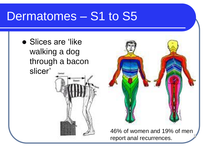### Dermatomes – S1 to S5

⚫ Slices are 'like walking a dog through a bacon slicer'



46% of women and 19% of men report anal recurrences.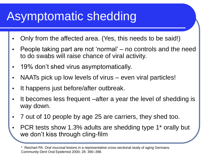# Asymptomatic shedding

- Only from the affected area. (Yes, this needs to be said!)
- People taking part are not 'normal' no controls and the need to do swabs will raise chance of viral activity.
- 19% don't shed virus asymptomatically.
- NAATs pick up low levels of virus even viral particles!
- It happens just before/after outbreak.
- It becomes less frequent –after a year the level of shedding is way down.
- 7 out of 10 people by age 25 are carriers, they shed too.
- PCR tests show 1.3% adults are shedding type 1\* orally but we don't kiss through cling-film

<sup>\*</sup> Reichart PA. Oral mucosal lesions in a representative cross-sectional study of aging Germans. Community Dent Oral Epidemiol 2000; 28: 390–398.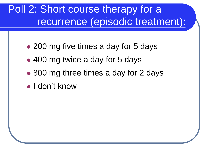#### Poll 2: Short course therapy for a recurrence (episodic treatment):

- 200 mg five times a day for 5 days
- 400 mg twice a day for 5 days
- 800 mg three times a day for 2 days
- ⚫ I don't know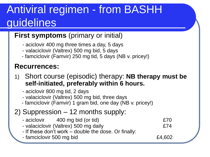## Antiviral regimen - from BASHH guidelines

#### **First symptoms** (primary or initial)

- aciclovir 400 mg three times a day, 5 days
- valaciclovir (Valtrex) 500 mg bid, 5 days
- famciclovir (Famvir) 250 mg tid, 5 days (NB v. pricey!)

#### **Recurrences:**

- 1) Short course (episodic) therapy: **NB therapy must be self-initiated, preferably within 6 hours.**
	- aciclovir 800 mg tid, 2 days
	- valaciclovir (Valtrex) 500 mg bid, three days
	- famciclovir (Famvir) 1 gram bid, one day (NB v. pricey!)

#### 2) Suppression – 12 months supply:

- aciclovir 400 mg bid (or tid) E70
- valaciclovir (Valtrex) 500 mg daily £74
- If these don't work double the dose. Or finally:
- famciclovir 500 mg bid **E4,602**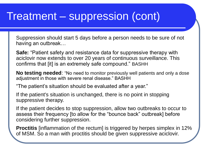#### Treatment – suppression (cont)

Suppression should start 5 days before a person needs to be sure of not having an outbreak…

**Safe:** "Patient safety and resistance data for suppressive therapy with aciclovir now extends to over 20 years of continuous surveillance. This confirms that [it] is an extremely safe compound." BASHH

**No testing needed**: "No need to monitor previously well patients and only a dose adjustment in those with severe renal disease." BASHH

"The patient's situation should be evaluated after a year."

If the patient's situation is unchanged, there is no point in stopping suppressive therapy.

If the patient decides to stop suppression, allow two outbreaks to occur to assess their frequency [to allow for the "bounce back" outbreak] before considering further suppression.

**Proctitis** [inflammation of the rectum] is triggered by herpes simplex in 12% of MSM. So a man with proctitis should be given suppressive aciclovir.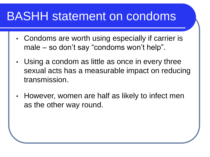### BASHH statement on condoms

- Condoms are worth using especially if carrier is male – so don't say "condoms won't help".
- Using a condom as little as once in every three sexual acts has a measurable impact on reducing transmission.
- However, women are half as likely to infect men as the other way round.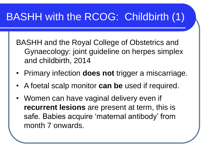#### BASHH with the RCOG: Childbirth (1)

BASHH and the Royal College of Obstetrics and Gynaecology: joint guideline on herpes simplex and childbirth, 2014

- Primary infection **does not** trigger a miscarriage.
- A foetal scalp monitor **can be** used if required.
- Women can have vaginal delivery even if **recurrent lesions** are present at term, this is safe. Babies acquire 'maternal antibody' from month 7 onwards.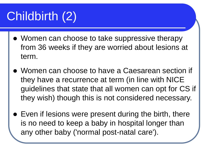# Childbirth (2)

- ⚫ Women can choose to take suppressive therapy from 36 weeks if they are worried about lesions at term.
- ⚫ Women can choose to have a Caesarean section if they have a recurrence at term (in line with NICE guidelines that state that all women can opt for CS if they wish) though this is not considered necessary.
- Even if lesions were present during the birth, there is no need to keep a baby in hospital longer than any other baby ('normal post-natal care').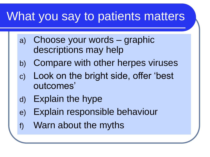## What you say to patients matters

- a) Choose your words graphic descriptions may help
- b) Compare with other herpes viruses
- c) Look on the bright side, offer 'best outcomes'
- d) Explain the hype
- e) Explain responsible behaviour
- f) Warn about the myths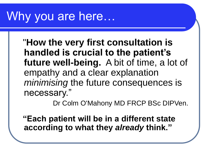## Why you are here…

"**How the very first consultation is handled is crucial to the patient's future well-being.** A bit of time, a lot of empathy and a clear explanation *minimising* the future consequences is necessary."

Dr Colm O'Mahony MD FRCP BSc DIPVen.

**"Each patient will be in a different state according to what they** *already* **think."**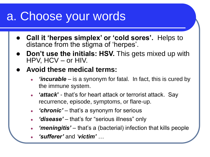## a. Choose your words

- ⚫ **Call it 'herpes simplex' or 'cold sores'.** Helps to distance from the stigma of 'herpes'.
- **Don't use the initials: HSV.** This gets mixed up with HPV, HCV – or HIV.
- ⚫ **Avoid these medical terms:**
	- *'incurable* is a synonym for fatal. In fact, this is cured by the immune system.
	- **'***attack***'** that's for heart attack or terrorist attack. Say recurrence, episode, symptoms, or flare-up.
	- *'chronic'* that's a synonym for serious
	- *'disease'* that's for "serious illness" only
	- *'meningitis'* that's a (bacterial) infection that kills people
	- *'sufferer'* and *'victim' …*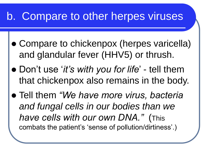#### b. Compare to other herpes viruses

- ⚫ Compare to chickenpox (herpes varicella) and glandular fever (HHV5) or thrush.
- ⚫ Don't use '*it's with you for life*' tell them that chickenpox also remains in the body.
- ⚫ Tell them *"We have more virus, bacteria and fungal cells in our bodies than we have cells with our own DNA."* (This combats the patient's 'sense of pollution/dirtiness'.)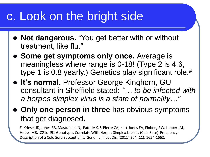## c. Look on the bright side

- ⚫ **Not dangerous.** "You get better with or without treatment, like flu."
- ⚫ **Some get symptoms only once.** Average is meaningless where range is 0-18! (Type 2 is 4.6, type 1 is 0.8 yearly.) Genetics play significant role.<sup>#</sup>
- ⚫ **It's normal.** Professor George Kinghorn, GU consultant in Sheffield stated: *"… to be infected with a herpes simplex virus is a state of normality…"*
- ⚫ **Only one person in three** has obvious symptoms that get diagnosed.

# Kriesel JD, Jones BB, Mastunami N, Patel MK, StPierre CA, Kurt-Jones EA, Finberg RW, Leppert M, Hobbs MR. C21orf91 Genotypes Correlate With Herpes Simplex Labialis (Cold Sore) Frequency: Description of a Cold Sore Susceptibility Gene. J Infect Dis. (2011) 204 (11): 1654-1662.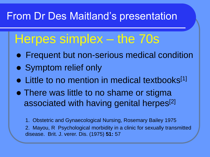#### From Dr Des Maitland's presentation

### Herpes simplex – the 70s

- ⚫ Frequent but non-serious medical condition
- Symptom relief only
- Little to no mention in medical textbooks<sup>[1]</sup>
- ⚫ There was little to no shame or stigma associated with having genital herpes<sup>[2]</sup>

1. Obstetric and Gynaecological Nursing, Rosemary Bailey 1975 2. Mayou, R Psychological morbidity in a clinic for sexually transmitted disease. Brit. J. verer. Dis. (1975) **51:** 57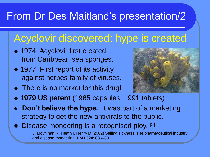#### From Dr Des Maitland's presentation/2

#### Acyclovir discovered: hype is created

- ⚫ 1974 Acyclovir first created from Caribbean sea sponges.
- 1977 First report of its activity against herpes family of viruses.
- ⚫ There is no market for this drug!



- ⚫ **1979 US patent** (1985 capsules; 1991 tablets)
- ⚫ **Don't believe the hype.** It was part of a marketing strategy to get the new antiviral*s* to the public.
- Disease-mongering is a recognised ploy. [3] 3. Moynihan R, Heath I, Henry D (2002) Selling sickness: The pharmaceutical industry and disease mongering. BMJ **324**: 886–891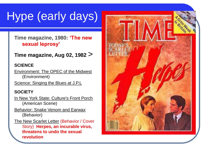# Hype (early days)

#### **Time magazine, 1980: 'The new sexual leprosy'**

#### **Time magazine, Aug 02, 1982** >

#### **SCIENCE**

[Environment: The OPEC of the Midwest](http://www.time.com/time/magazine/article/0,9171,925619,00.html) (Environment)

[Science: Singing the Blues at J.P.L](http://www.time.com/time/magazine/article/0,9171,925621,00.html).

#### **SOCIETY**

- [In New York State: Culture's Front Porch](http://www.time.com/time/magazine/article/0,9171,925574,00.html) (American Scene)
- [Behavior: Snake Venom and Earwax](http://www.time.com/time/magazine/article/0,9171,925610,00.html) (Behavior)
- [The New Scarlet Letter](http://www.time.com/time/magazine/article/0,9171,1715020,00.html) (Behavior / Cover Story) **Herpes, an incurable virus, threatens to undo the sexual revolution**

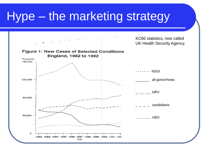## Hype – the marketing strategy

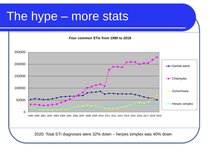## The hype – more stats



2020: Total STI diagnoses were 32% down – herpes simplex was 40% down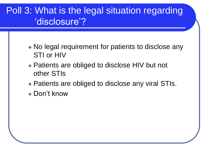#### Poll 3: What is the legal situation regarding 'disclosure'?

- ⚫ No legal requirement for patients to disclose any STI or HIV
- Patients are obliged to disclose HIV but not other STIs
- Patients are obliged to disclose any viral STIs.
- Don't know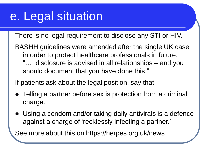## e. Legal situation

There is no legal requirement to disclose any STI or HIV.

BASHH guidelines were amended after the single UK case in order to protect healthcare professionals in future: "… disclosure is advised in all relationships – and you should document that you have done this."

If patients ask about the legal position, say that:

- ⚫ Telling a partner before sex is protection from a criminal charge.
- ⚫ Using a condom and/or taking daily antivirals is a defence against a charge of 'recklessly infecting a partner.'

See more about this on https://herpes.org.uk/news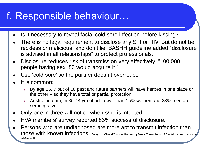#### f. Responsible behaviour…

- Is it necessary to reveal facial cold sore infection before kissing?
- There is no legal requirement to disclose any STI or HIV. But do not be reckless or malicious, and don't lie. BASHH guideline added "disclosure is advised in all relationships" to protect professionals.
- Disclosure reduces risk of transmission very effectively: "100,000 people having sex, 83 would acquire it."
- Use 'cold sore' so the partner doesn't overreact.
- It is common:
	- By age 25, 7 out of 10 past and future partners will have herpes in one place or the other – so they have total or partial protection.
	- Australian data, in 35-44 yr cohort: fewer than 15% women and 23% men are seronegative.
- Only one in three will notice when s/he is infected.
- HVA members' survey reported 83% success of disclosure.
- Persons who are undiagnosed are more apt to transmit infection than those with known infections. Corey, L. . Clinical Tools for Preventing Sexual Transmission of Genital Herpes. Medscape 03/29/2004)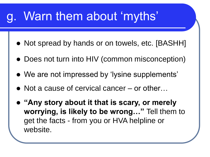## Warn them about 'myths'

- Not spread by hands or on towels, etc. [BASHH]
- Does not turn into HIV (common misconception)
- ⚫ We are not impressed by 'lysine supplements'
- Not a cause of cervical cancer or other...
- ⚫ **"Any story about it that is scary, or merely worrying, is likely to be wrong…"** Tell them to get the facts - from you or HVA helpline or website.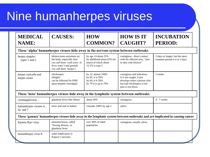## Nine humanherpes viruses

| <b>MEDICAL</b><br><b>NAME:</b>        | <b>CAUSES:</b>                                                                                                                                    | <b>HOW</b><br><b>COMMON?</b>                                                                 | <b>HOW IS IT</b><br><b>CAUGHT?</b>                                                                                                    | <b>INCUBATION</b><br><b>PERIOD:</b>                                                                                        |
|---------------------------------------|---------------------------------------------------------------------------------------------------------------------------------------------------|----------------------------------------------------------------------------------------------|---------------------------------------------------------------------------------------------------------------------------------------|----------------------------------------------------------------------------------------------------------------------------|
|                                       | These 'alpha' humanherpes viruses hide away in the nervous system between outbreaks                                                               |                                                                                              |                                                                                                                                       |                                                                                                                            |
| herpes simplex<br>types 1 and 2       | blisters/sores anywhere on<br>the body, especially face<br>(we call them 'cold sores' or<br>fever sores') and genitals<br>(we call them 'herpes') | by age 14 about 25%<br>by adulthood about 65% (or<br>more) of which about<br>12.5% is type 2 | contagious - direct contact<br>with the affected area, "skin<br>to skin with friction"                                                | 2 days or longer, but the most<br>common period is 4 or 5 days                                                             |
| herpes varicella and<br>herpes zoster | chickenpox<br>shingles<br>can be followed by PHN<br>(post herpetic neuralgia)                                                                     | by 12, almost 100%<br>by 85, it is 50%<br>by 60, it is 50%<br>by 70 it is up to $70\%$       | contagious and infectious<br>it is not caught, it just<br>develops when a person who<br>has had chickenpox in the<br>past is run down | 2 weeks                                                                                                                    |
|                                       | These 'beta' human herpes viruses hide away in the lymphatic system between outbreaks                                                             |                                                                                              |                                                                                                                                       |                                                                                                                            |
| cytomegalovirus                       | glandular fever-like illness                                                                                                                      | about 50%                                                                                    | contagious                                                                                                                            | 4 - 7 weeks                                                                                                                |
| humanherpes viruses 6,<br>6a and 7    | fever and rash in babies                                                                                                                          | virtually 100% by age 2                                                                      | saliva                                                                                                                                |                                                                                                                            |
|                                       |                                                                                                                                                   |                                                                                              |                                                                                                                                       | These 'gamma' humanherpes viruses hide away in the lymphatic system between outbreaks and are implicated in causing cancer |
| Epstein Barr virus                    | mononucleosis, called<br>"kissing disease, or<br>glandular fever                                                                                  | over 90% of adult<br>population                                                              | contagious, usually saliva                                                                                                            |                                                                                                                            |
| humanherpes virus 8                   | some implication in<br>Kaposi's sarcoma                                                                                                           |                                                                                              |                                                                                                                                       |                                                                                                                            |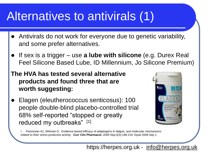## Alternatives to antivirals (1)

- ⚫ Antivirals do not work for everyone due to genetic variability, and some prefer alternatives.
- ⚫ If sex is a trigger use **a lube with silicone** (e.g. Durex Real Feel Silicone Based Lube, ID Millennium, Jo Silicone Premium)
- **The HVA has tested several alternative products and found three that are worth suggesting:**
- ⚫ Elagen (eleutherococcus senticosus): 100 people double-blind placebo-controlled trial **Foundation** 68% self-reported "stopped or greatly reduced my outbreaks" [1]



1 Panossian A1, Wikman G. *Evidence-based efficacy of adaptogens in fatigue, and molecular mechanisms related to their stress-protective activity.* **Curr Clin Pharmacol.** 2009 Sep;4(3):198-219. Epub 2009 Sep 1.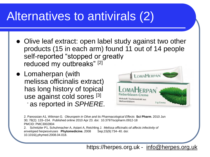## Alternatives to antivirals (2)

- ⚫ Olive leaf extract: open label study against two other products (15 in each arm) found 11 out of 14 people self-reported "stopped or greatly reduced my outbreaks" [2]
- Lomaherpan (with melissa officinalis extract) has long history of topical use against cold sores [3] - as reported in *SPHERE.*



2. Panossian A1, Wikman G*. Oleuropein in Olive and its Pharmacological Effects* **Sci Pharm**. 2010 Jun 30; 78(2): 133–154. Published online 2010 Apr 23. doi: 10.3797/scipharm.0912-18 PMCID: PMC3002804 2. Schnitzler P1, Schuhmacher A, Astani A, Reichling J. *Melissa officinalis oil affects infectivity of* 

*enveloped herpesviruses* **Phytomedicine.** 2008 Sep;15(9):734- 40. doi: 10.1016/j.phymed.2008.04.018.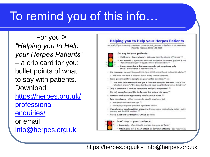# To remind you of this info…

For you > *"Helping you to Help your Herpes Patients"*  – a crib card for you: bullet points of what to say with patients. Download: https://herpes.org.uk/ professionalenquiries/ or email info@herpes.org.uk

#### **Helping you to Help your Herpes Patients**

For staff: if you have any questions, or want cards, posters or leaflets: 020 7607 9661 Patients' helpline: 0845 123 2305

#### Do say to your patients:

- . 'Cold sore lower down' get away from the stigma of 'herpes' (1)
- . Not serious symptoms heal with or without treatment, just like a cold - for almost everyone it's just a minor skin condition (8)
- It may come back, but many people get symptoms only once - a recurrence is not inevitable. <sup>61</sup>
- . It's common: by age 25 around 10% have HSV2, more than 6 million UK adults. (ii)
	- a And about 70% have at least one type mostly without symptoms.
- . Some people get first symptoms years after infection <sup>in</sup> so:

You won't necessarily have got it from the one you are with. This is the 'cheater's charter': "I've been told I could have caught it long before I met you."

- · Only 1 person in 3 notices symptoms and gets diagnosed. <sup>11</sup>
- . It's not spread around the body once the primary is over. <sup>111</sup>
- . Partners with same type rarely reinfect each other. (8)
- . Two virus types either type can be caught anywhere, but -
- Most people only catch one type (7) ×.
- a flach type gives partial protection against the other [1]
- . If you hear or read anything scary, it will be wrong or misleadingly stated get in touch or ask the HVA helpline. <sup>[8]</sup>
- · Here's a patient card/leaflet/GUIDE booklet.

#### Don't say to your patients:

- . Incurable often thought to mean the same as 'fatal."
- Attack (it's not a heart attack or terrorist attack!) say recurrence.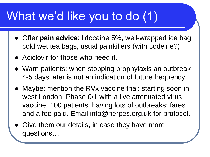## What we'd like you to do (1)

- ⚫ Offer **pain advice**: lidocaine 5%, well-wrapped ice bag, cold wet tea bags, usual painkillers (with codeine?)
- ⚫ Aciclovir for those who need it.
- ⚫ Warn patients: when stopping prophylaxis an outbreak 4-5 days later is not an indication of future frequency.
- ⚫ Maybe: mention the RVx vaccine trial: starting soon in west London. Phase 0/1 with a live attenuated virus vaccine. 100 patients; having lots of outbreaks; fares and a fee paid. Email [info@herpes.org.uk](mailto:info@herpes.org.uk) for protocol.
- ⚫ Give them our details, in case they have more questions…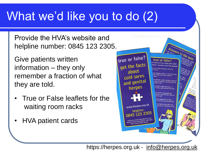# What we'd like you to do (2)

Provide the HVA's website and helpline number: 0845 123 2305.

Give patients written information – they only remember a fraction of what they are told.

- True or False leaflets for the waiting room racks
- HVA patient cards